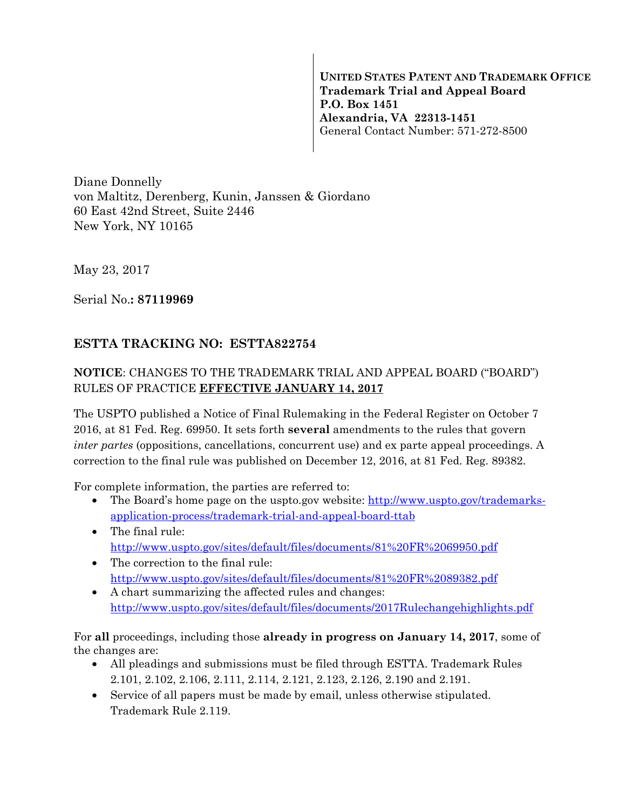**UNITED STATES PATENT AND TRADEMARK OFFICE Trademark Trial and Appeal Board P.O. Box 1451 Alexandria, VA 22313-1451**  General Contact Number: 571-272-8500

Diane Donnelly von Maltitz, Derenberg, Kunin, Janssen & Giordano 60 East 42nd Street, Suite 2446 New York, NY 10165

May 23, 2017

Serial No.**: 87119969** 

## **ESTTA TRACKING NO: ESTTA822754**

## **NOTICE**: CHANGES TO THE TRADEMARK TRIAL AND APPEAL BOARD ("BOARD") RULES OF PRACTICE **EFFECTIVE JANUARY 14, 2017**

The USPTO published a Notice of Final Rulemaking in the Federal Register on October 7 2016, at 81 Fed. Reg. 69950. It sets forth **several** amendments to the rules that govern *inter partes* (oppositions, cancellations, concurrent use) and ex parte appeal proceedings. A correction to the final rule was published on December 12, 2016, at 81 Fed. Reg. 89382.

For complete information, the parties are referred to:

- The Board's home page on the uspto.gov website: http://www.uspto.gov/trademarksapplication-process/trademark-trial-and-appeal-board-ttab
- The final rule: http://www.uspto.gov/sites/default/files/documents/81%20FR%2069950.pdf
- The correction to the final rule: http://www.uspto.gov/sites/default/files/documents/81%20FR%2089382.pdf
- A chart summarizing the affected rules and changes: http://www.uspto.gov/sites/default/files/documents/2017Rulechangehighlights.pdf

For **all** proceedings, including those **already in progress on January 14, 2017**, some of the changes are:

- All pleadings and submissions must be filed through ESTTA. Trademark Rules 2.101, 2.102, 2.106, 2.111, 2.114, 2.121, 2.123, 2.126, 2.190 and 2.191.
- Service of all papers must be made by email, unless otherwise stipulated. Trademark Rule 2.119.